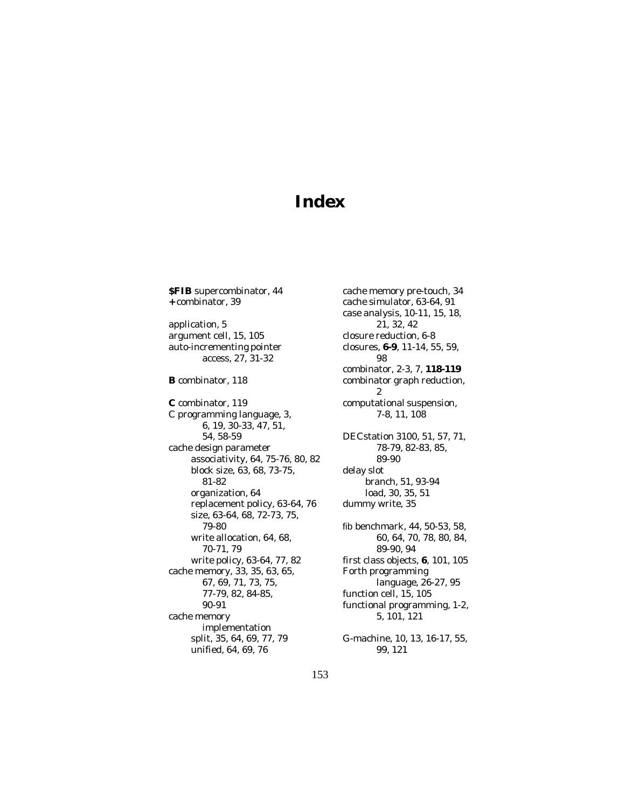## **Index**

**\$FIB** supercombinator, 44 **+** combinator, 39

application, 5 argument cell, 15, 105 auto-incrementing pointer access, 27, 31-32

**B** combinator, 118

**C** combinator, 119 C programming language, 3, 6, 19, 30-33, 47, 51, 54, 58-59 cache design parameter associativity, 64, 75-76, 80, 82 block size, 63, 68, 73-75, 81-82 organization, 64 replacement policy, 63-64, 76 size, 63-64, 68, 72-73, 75, 79-80 write allocation, 64, 68, 70-71, 79 write policy, 63-64, 77, 82 cache memory, 33, 35, 63, 65, 67, 69, 71, 73, 75, 77-79, 82, 84-85, 90-91 cache memory implementation split, 35, 64, 69, 77, 79 unified, 64, 69, 76

cache memory pre-touch, 34 cache simulator, 63-64, 91 case analysis, 10-11, 15, 18, 21, 32, 42 closure reduction, 6-8 closures, **6-9**, 11-14, 55, 59, 98 combinator, 2-3, 7, **118-119** combinator graph reduction, 2 computational suspension, 7-8, 11, 108 DECstation 3100, 51, 57, 71, 78-79, 82-83, 85, 89-90 delay slot branch, 51, 93-94 load, 30, 35, 51 dummy write, 35 fib benchmark, 44, 50-53, 58, 60, 64, 70, 78, 80, 84, 89-90, 94 first class objects, **6**, 101, 105 Forth programming language, 26-27, 95 function cell, 15, 105 functional programming, 1-2, 5, 101, 121 G-machine, 10, 13, 16-17, 55, 99, 121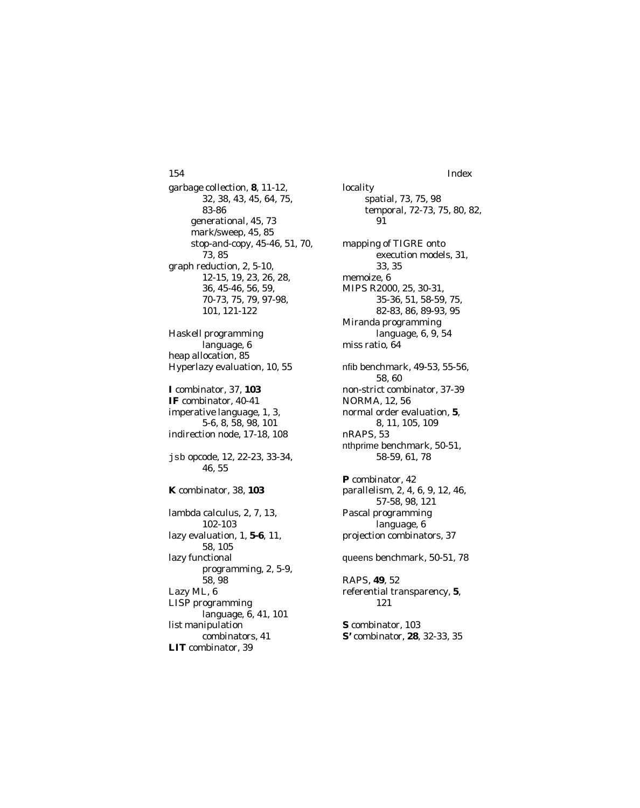garbage collection, **8**, 11-12, 32, 38, 43, 45, 64, 75, 83-86 generational, 45, 73 mark/sweep, 45, 85 stop-and-copy, 45-46, 51, 70, 73, 85 graph reduction, 2, 5-10, 12-15, 19, 23, 26, 28, 36, 45-46, 56, 59, 70-73, 75, 79, 97-98, 101, 121-122 Haskell programming language, 6 heap allocation, 85 Hyperlazy evaluation, 10, 55 **I** combinator, 37, **103 IF** combinator, 40-41 imperative language, 1, 3, 5-6, 8, 58, 98, 101 indirection node, 17-18, 108 jsb opcode, 12, 22-23, 33-34, 46, 55 **K** combinator, 38, **103** lambda calculus, 2, 7, 13, 102-103 lazy evaluation, 1, **5-6**, 11, 58, 105 lazy functional programming, 2, 5-9, 58, 98 Lazy ML, 6 LISP programming language, 6, 41, 101 list manipulation 154 Index

combinators, 41

**LIT** combinator, 39

locality spatial, 73, 75, 98 temporal, 72-73, 75, 80, 82, 91 mapping of TIGRE onto execution models, 31, 33, 35 memoize, 6 MIPS R2000, 25, 30-31, 35-36, 51, 58-59, 75, 82-83, 86, 89-93, 95 Miranda programming language, 6, 9, 54 miss ratio, 64 nfib benchmark, 49-53, 55-56, 58, 60 non-strict combinator, 37-39 NORMA, 12, 56 normal order evaluation, **5**, 8, 11, 105, 109 nRAPS, 53 nthprime benchmark, 50-51, 58-59, 61, 78 **P** combinator, 42 parallelism, 2, 4, 6, 9, 12, 46, 57-58, 98, 121 Pascal programming language, 6 projection combinators, 37 queens benchmark, 50-51, 78 RAPS, **49**, 52 referential transparency, **5**, 121 **S** combinator, 103 **S'** combinator, **28**, 32-33, 35